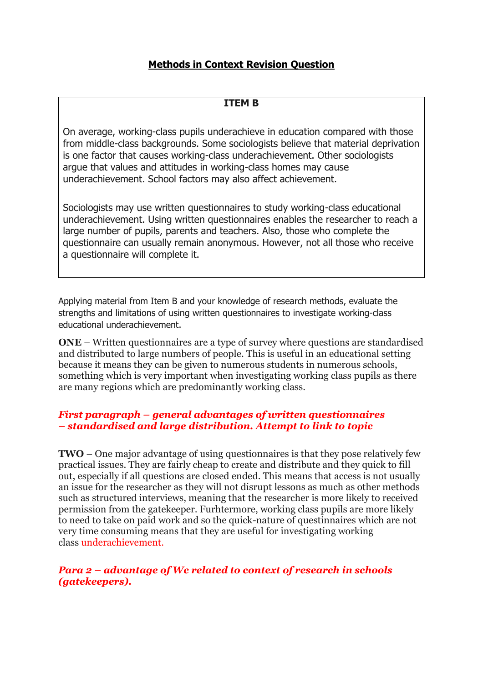# **Methods in Context Revision Question**

## **ITEM B**

On average, working-class pupils underachieve in education compared with those from middle-class backgrounds. Some sociologists believe that material deprivation is one factor that causes working-class underachievement. Other sociologists argue that values and attitudes in working-class homes may cause underachievement. School factors may also affect achievement.

Sociologists may use written questionnaires to study working-class educational underachievement. Using written questionnaires enables the researcher to reach a large number of pupils, parents and teachers. Also, those who complete the questionnaire can usually remain anonymous. However, not all those who receive a questionnaire will complete it.

Applying material from Item B and your knowledge of research methods, evaluate the strengths and limitations of using written questionnaires to investigate working-class educational underachievement.

**ONE** – Written questionnaires are a type of survey where questions are standardised and distributed to large numbers of people. This is useful in an educational setting because it means they can be given to numerous students in numerous schools, something which is very important when investigating working class pupils as there are many regions which are predominantly working class.

## *First paragraph – general advantages of written questionnaires – standardised and large distribution. Attempt to link to topic*

**TWO** – One major advantage of using questionnaires is that they pose relatively few practical issues. They are fairly cheap to create and distribute and they quick to fill out, especially if all questions are closed ended. This means that access is not usually an issue for the researcher as they will not disrupt lessons as much as other methods such as structured interviews, meaning that the researcher is more likely to received permission from the gatekeeper. Furhtermore, working class pupils are more likely to need to take on paid work and so the quick-nature of questinnaires which are not very time consuming means that they are useful for investigating working class underachievement.

## *Para 2 – advantage of Wc related to context of research in schools (gatekeepers).*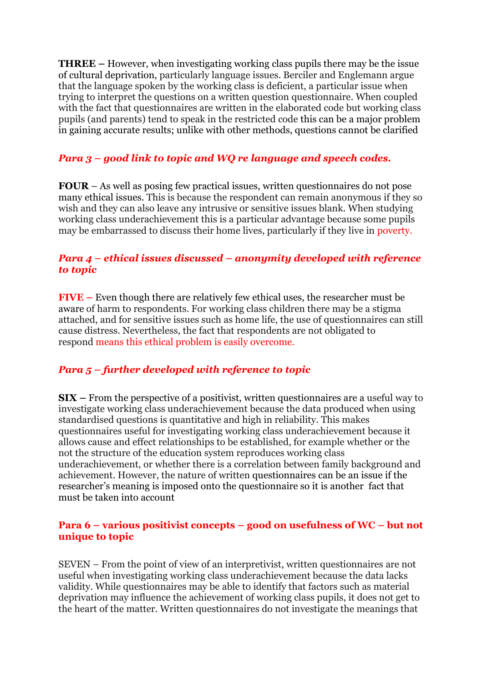**THREE –** However, when investigating working class pupils there may be the issue of cultural deprivation, particularly language issues. Berciler and Englemann argue that the language spoken by the working class is deficient, a particular issue when trying to interpret the questions on a written question questionnaire. When coupled with the fact that questionnaires are written in the elaborated code but working class pupils (and parents) tend to speak in the restricted code this can be a major problem in gaining accurate results; unlike with other methods, questions cannot be clarified

# *Para 3 – good link to topic and WQ re language and speech codes.*

**FOUR** – As well as posing few practical issues, written questionnaires do not pose many ethical issues. This is because the respondent can remain anonymous if they so wish and they can also leave any intrusive or sensitive issues blank. When studying working class underachievement this is a particular advantage because some pupils may be embarrassed to discuss their home lives, particularly if they live in poverty.

## *Para 4 – ethical issues discussed – anonymity developed with reference to topic*

**FIVE –** Even though there are relatively few ethical uses, the researcher must be aware of harm to respondents. For working class children there may be a stigma attached, and for sensitive issues such as home life, the use of questionnaires can still cause distress. Nevertheless, the fact that respondents are not obligated to respond means this ethical problem is easily overcome.

# *Para 5 – further developed with reference to topic*

**SIX –** From the perspective of a positivist, written questionnaires are a useful way to investigate working class underachievement because the data produced when using standardised questions is quantitative and high in reliability. This makes questionnaires useful for investigating working class underachievement because it allows cause and effect relationships to be established, for example whether or the not the structure of the education system reproduces working class underachievement, or whether there is a correlation between family background and achievement. However, the nature of written questionnaires can be an issue if the researcher's meaning is imposed onto the questionnaire so it is another fact that must be taken into account

## **Para 6 – various positivist concepts – good on usefulness of WC – but not unique to topic**

SEVEN – From the point of view of an interpretivist, written questionnaires are not useful when investigating working class underachievement because the data lacks validity. While questionnaires may be able to identify that factors such as material deprivation may influence the achievement of working class pupils, it does not get to the heart of the matter. Written questionnaires do not investigate the meanings that